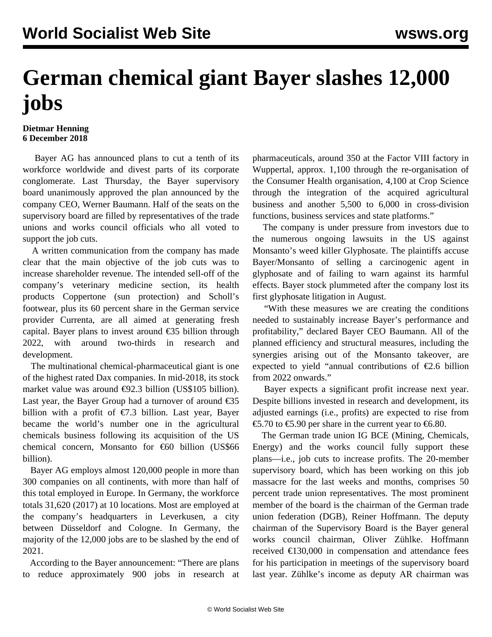## **German chemical giant Bayer slashes 12,000 jobs**

## **Dietmar Henning 6 December 2018**

 Bayer AG has announced plans to cut a tenth of its workforce worldwide and divest parts of its corporate conglomerate. Last Thursday, the Bayer supervisory board unanimously approved the plan announced by the company CEO, Werner Baumann. Half of the seats on the supervisory board are filled by representatives of the trade unions and works council officials who all voted to support the job cuts.

 A written communication from the company has made clear that the main objective of the job cuts was to increase shareholder revenue. The intended sell-off of the company's veterinary medicine section, its health products Coppertone (sun protection) and Scholl's footwear, plus its 60 percent share in the German service provider Currenta, are all aimed at generating fresh capital. Bayer plans to invest around  $\epsilon$ 35 billion through 2022, with around two-thirds in research and development.

 The multinational chemical-pharmaceutical giant is one of the highest rated Dax companies. In mid-2018, its stock market value was around €92.3 billion (US\$105 billion). Last year, the Bayer Group had a turnover of around  $\epsilon$ 35 billion with a profit of  $\epsilon$ 7.3 billion. Last year, Bayer became the world's number one in the agricultural chemicals business following its acquisition of the US chemical concern, Monsanto for €60 billion (US\$66 billion).

 Bayer AG employs almost 120,000 people in more than 300 companies on all continents, with more than half of this total employed in Europe. In Germany, the workforce totals 31,620 (2017) at 10 locations. Most are employed at the company's headquarters in Leverkusen, a city between Düsseldorf and Cologne. In Germany, the majority of the 12,000 jobs are to be slashed by the end of 2021.

 According to the Bayer announcement: "There are plans to reduce approximately 900 jobs in research at pharmaceuticals, around 350 at the Factor VIII factory in Wuppertal, approx. 1,100 through the re-organisation of the Consumer Health organisation, 4,100 at Crop Science through the integration of the acquired agricultural business and another 5,500 to 6,000 in cross-division functions, business services and state platforms."

 The company is under pressure from investors due to the numerous ongoing lawsuits in the US against Monsanto's weed killer Glyphosate. The plaintiffs accuse Bayer/Monsanto of selling a carcinogenic agent in glyphosate and of failing to warn against its harmful effects. Bayer stock plummeted after the company lost its first glyphosate litigation in August.

 "With these measures we are creating the conditions needed to sustainably increase Bayer's performance and profitability," declared Bayer CEO Baumann. All of the planned efficiency and structural measures, including the synergies arising out of the Monsanto takeover, are expected to yield "annual contributions of  $\epsilon$ 2.6 billion from 2022 onwards."

 Bayer expects a significant profit increase next year. Despite billions invested in research and development, its adjusted earnings (i.e., profits) are expected to rise from €5.70 to €5.90 per share in the current year to €6.80.

 The German trade union IG BCE (Mining, Chemicals, Energy) and the works council fully support these plans—i.e., job cuts to increase profits. The 20-member supervisory board, which has been working on this job massacre for the last weeks and months, comprises 50 percent trade union representatives. The most prominent member of the board is the chairman of the German trade union federation (DGB), Reiner Hoffmann. The deputy chairman of the Supervisory Board is the Bayer general works council chairman, Oliver Zühlke. Hoffmann received  $\epsilon$ 130,000 in compensation and attendance fees for his participation in meetings of the supervisory board last year. Zühlke's income as deputy AR chairman was